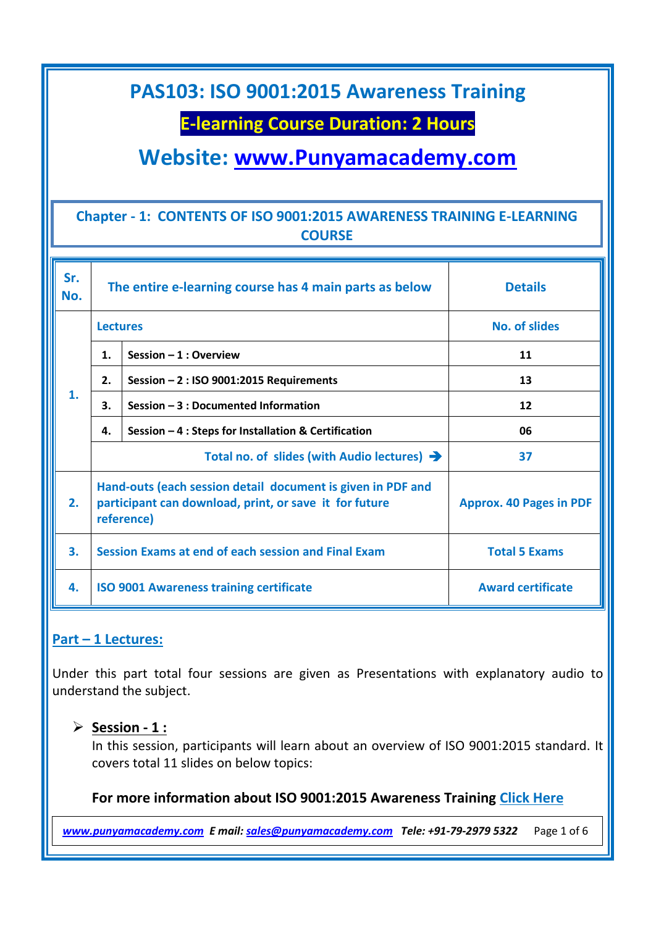### **E-learning Course Duration: 2 Hours**

**Website: [www.Punyamacademy.com](http://www.punyamacademy.com/)**

### **Chapter - 1: CONTENTS OF ISO 9001:2015 AWARENESS TRAINING E-LEARNING COURSE**

| Sr.<br>No. | The entire e-learning course has 4 main parts as below                                                                              |                                                      | <b>Details</b>                 |
|------------|-------------------------------------------------------------------------------------------------------------------------------------|------------------------------------------------------|--------------------------------|
| 1.         | <b>Lectures</b>                                                                                                                     |                                                      | <b>No. of slides</b>           |
|            | $\mathbf 1$ .                                                                                                                       | Session $-1$ : Overview                              | 11                             |
|            | 2.                                                                                                                                  | Session - 2 : ISO 9001:2015 Requirements             | 13                             |
|            | 3.                                                                                                                                  | Session - 3 : Documented Information                 | 12                             |
|            | 4.                                                                                                                                  | Session - 4 : Steps for Installation & Certification | 06                             |
|            | Total no. of slides (with Audio lectures) $\rightarrow$                                                                             |                                                      | 37                             |
| 2.         | Hand-outs (each session detail document is given in PDF and<br>participant can download, print, or save it for future<br>reference) |                                                      | <b>Approx. 40 Pages in PDF</b> |
| 3.         |                                                                                                                                     | Session Exams at end of each session and Final Exam  | <b>Total 5 Exams</b>           |
| 4.         |                                                                                                                                     | <b>ISO 9001 Awareness training certificate</b>       | <b>Award certificate</b>       |

### **Part – 1 Lectures:**

Under this part total four sessions are given as Presentations with explanatory audio to understand the subject.

#### **Session - 1 :**

In this session, participants will learn about an overview of ISO 9001:2015 standard. It covers total 11 slides on below topics:

#### **For more information about ISO 9001:2015 Awareness Training [Click Here](https://www.punyamacademy.com/course/quality/iso-9001-awareness-training)**

*[www.punyamacademy.com](https://www.punyamacademy.com/) E mail[: sales@punyamacademy.com](mailto:sales@punyamacademy.com) Tele: +91-79-2979 5322* Page 1 of 6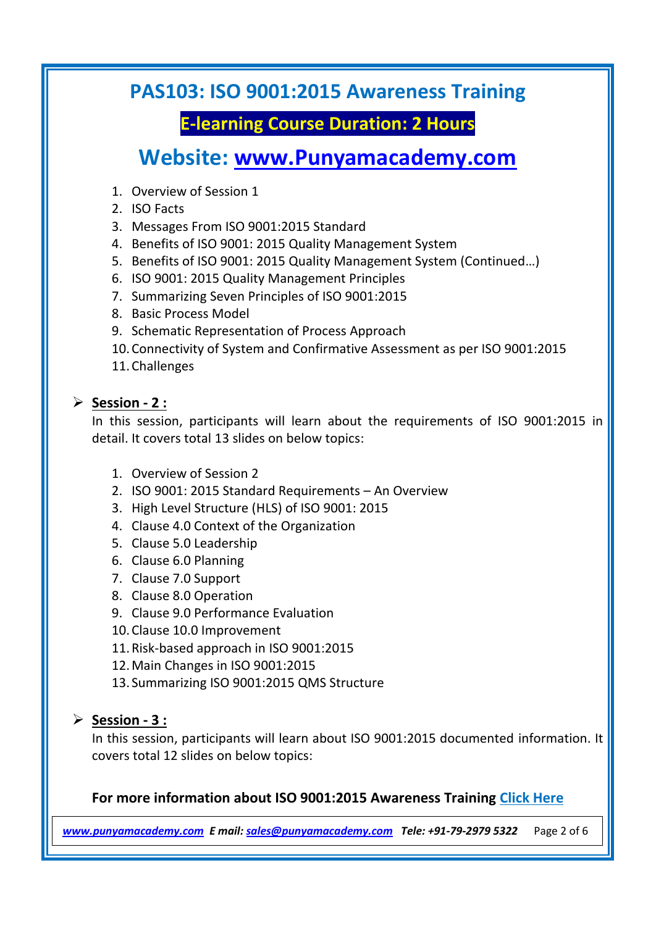# **E-learning Course Duration: 2 Hours**

**Website: [www.Punyamacademy.com](http://www.punyamacademy.com/)**

- 1. Overview of Session 1
- 2. ISO Facts
- 3. Messages From ISO 9001:2015 Standard
- 4. Benefits of ISO 9001: 2015 Quality Management System
- 5. Benefits of ISO 9001: 2015 Quality Management System (Continued…)
- 6. ISO 9001: 2015 Quality Management Principles
- 7. Summarizing Seven Principles of ISO 9001:2015
- 8. Basic Process Model
- 9. Schematic Representation of Process Approach
- 10.Connectivity of System and Confirmative Assessment as per ISO 9001:2015
- 11.Challenges

### **Session - 2 :**

In this session, participants will learn about the requirements of ISO 9001:2015 in detail. It covers total 13 slides on below topics:

- 1. Overview of Session 2
- 2. ISO 9001: 2015 Standard Requirements An Overview
- 3. High Level Structure (HLS) of ISO 9001: 2015
- 4. Clause 4.0 Context of the Organization
- 5. Clause 5.0 Leadership
- 6. Clause 6.0 Planning
- 7. Clause 7.0 Support
- 8. Clause 8.0 Operation
- 9. Clause 9.0 Performance Evaluation
- 10.Clause 10.0 Improvement
- 11.Risk-based approach in ISO 9001:2015
- 12.Main Changes in ISO 9001:2015
- 13. Summarizing ISO 9001:2015 QMS Structure

### **Session - 3 :**

In this session, participants will learn about ISO 9001:2015 documented information. It covers total 12 slides on below topics:

### **For more information about ISO 9001:2015 Awareness Training [Click Here](https://www.punyamacademy.com/course/quality/iso-9001-awareness-training)**

*[www.punyamacademy.com](https://www.punyamacademy.com/) E mail[: sales@punyamacademy.com](mailto:sales@punyamacademy.com) Tele: +91-79-2979 5322* Page 2 of 6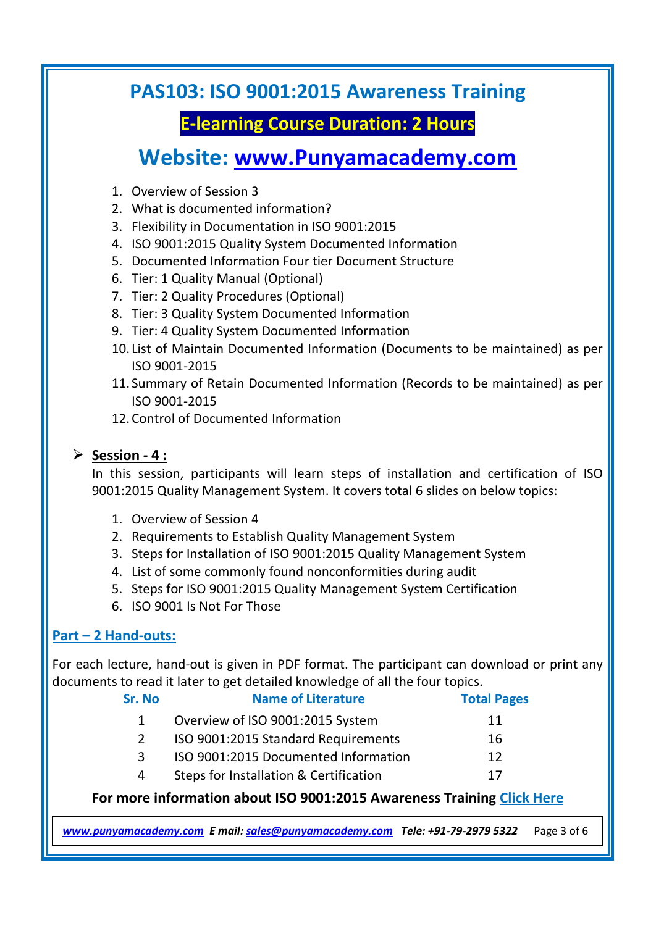# **E-learning Course Duration: 2 Hours**

# **Website: [www.Punyamacademy.com](http://www.punyamacademy.com/)**

- 1. Overview of Session 3
- 2. What is documented information?
- 3. Flexibility in Documentation in ISO 9001:2015
- 4. ISO 9001:2015 Quality System Documented Information
- 5. Documented Information Four tier Document Structure
- 6. Tier: 1 Quality Manual (Optional)
- 7. Tier: 2 Quality Procedures (Optional)
- 8. Tier: 3 Quality System Documented Information
- 9. Tier: 4 Quality System Documented Information
- 10. List of Maintain Documented Information (Documents to be maintained) as per ISO 9001-2015
- 11. Summary of Retain Documented Information (Records to be maintained) as per ISO 9001-2015
- 12.Control of Documented Information

### **Session - 4 :**

In this session, participants will learn steps of installation and certification of ISO 9001:2015 Quality Management System. It covers total 6 slides on below topics:

- 1. Overview of Session 4
- 2. Requirements to Establish Quality Management System
- 3. Steps for Installation of ISO 9001:2015 Quality Management System
- 4. List of some commonly found nonconformities during audit
- 5. Steps for ISO 9001:2015 Quality Management System Certification
- 6. ISO 9001 Is Not For Those

### **Part – 2 Hand-outs:**

For each lecture, hand-out is given in PDF format. The participant can download or print any documents to read it later to get detailed knowledge of all the four topics.

| Sr. No | <b>Name of Literature</b>              | <b>Total Pages</b> |
|--------|----------------------------------------|--------------------|
|        | Overview of ISO 9001:2015 System       | 11                 |
| 2      | ISO 9001:2015 Standard Requirements    | 16                 |
| 3      | ISO 9001:2015 Documented Information   | 12                 |
| 4      | Steps for Installation & Certification | 17                 |
|        |                                        |                    |

### **For more information about ISO 9001:2015 Awareness Training [Click Here](https://www.punyamacademy.com/course/quality/iso-9001-awareness-training)**

*[www.punyamacademy.com](https://www.punyamacademy.com/) E mail[: sales@punyamacademy.com](mailto:sales@punyamacademy.com) Tele: +91-79-2979 5322* Page 3 of 6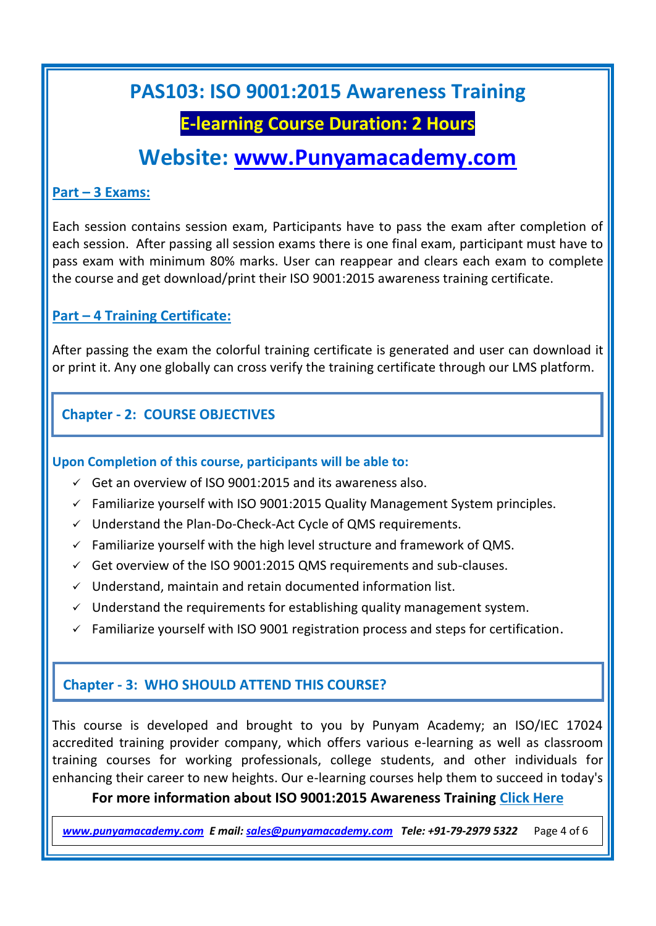### **E-learning Course Duration: 2 Hours**

# **Website: [www.Punyamacademy.com](http://www.punyamacademy.com/)**

#### **Part – 3 Exams:**

Each session contains session exam, Participants have to pass the exam after completion of each session. After passing all session exams there is one final exam, participant must have to pass exam with minimum 80% marks. User can reappear and clears each exam to complete the course and get download/print their ISO 9001:2015 awareness training certificate.

### **Part – 4 Training Certificate:**

After passing the exam the colorful training certificate is generated and user can download it or print it. Any one globally can cross verify the training certificate through our LMS platform.

### **Chapter - 2: COURSE OBJECTIVES**

#### **Upon Completion of this course, participants will be able to:**

- $\checkmark$  Get an overview of ISO 9001:2015 and its awareness also.
- $\checkmark$  Familiarize yourself with ISO 9001:2015 Quality Management System principles.
- $\checkmark$  Understand the Plan-Do-Check-Act Cycle of QMS requirements.
- $\checkmark$  Familiarize yourself with the high level structure and framework of QMS.
- $\checkmark$  Get overview of the ISO 9001:2015 QMS requirements and sub-clauses.
- $\checkmark$  Understand, maintain and retain documented information list.
- $\checkmark$  Understand the requirements for establishing quality management system.
- $\checkmark$  Familiarize yourself with ISO 9001 registration process and steps for certification.

### **Chapter - 3: WHO SHOULD ATTEND THIS COURSE?**

This course is developed and brought to you by Punyam Academy; an ISO/IEC 17024 accredited training provider company, which offers various e-learning as well as classroom training courses for working professionals, college students, and other individuals for enhancing their career to new heights. Our e-learning courses help them to succeed in today's

**For more information about ISO 9001:2015 Awareness Training [Click Here](https://www.punyamacademy.com/course/quality/iso-9001-awareness-training)**

*[www.punyamacademy.com](https://www.punyamacademy.com/) E mail[: sales@punyamacademy.com](mailto:sales@punyamacademy.com) Tele: +91-79-2979 5322* Page 4 of 6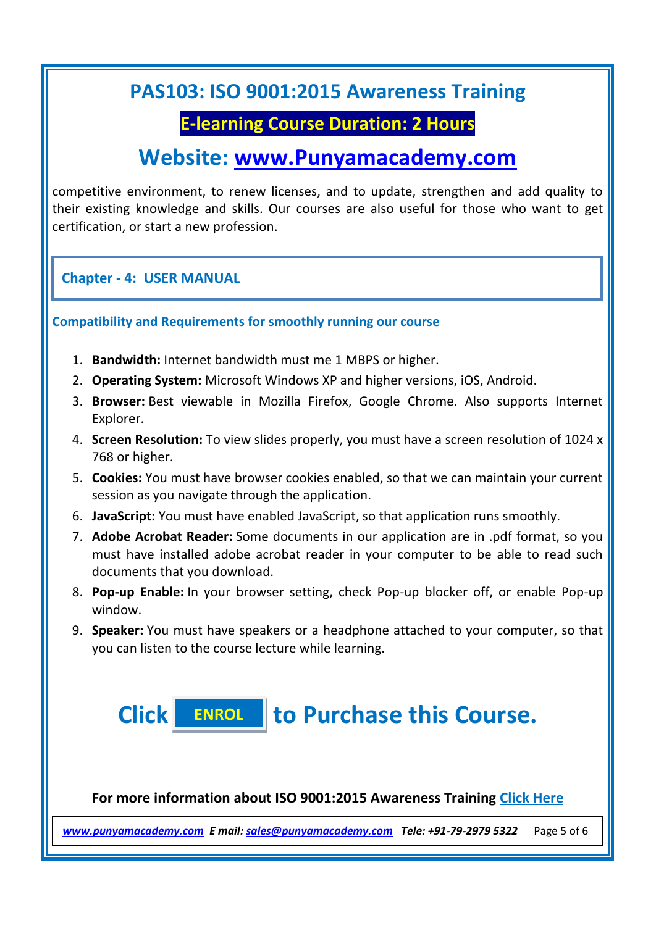### **E-learning Course Duration: 2 Hours**

# **Website: [www.Punyamacademy.com](http://www.punyamacademy.com/)**

competitive environment, to renew licenses, and to update, strengthen and add quality to their existing knowledge and skills. Our courses are also useful for those who want to get certification, or start a new profession.

**Chapter - 4: USER MANUAL**

**Compatibility and Requirements for smoothly running our course**

- 1. **Bandwidth:** Internet bandwidth must me 1 MBPS or higher.
- 2. **Operating System:** Microsoft Windows XP and higher versions, iOS, Android.
- 3. **Browser:** Best viewable in Mozilla Firefox, Google Chrome. Also supports Internet Explorer.
- 4. **Screen Resolution:** To view slides properly, you must have a screen resolution of 1024 x 768 or higher.
- 5. **Cookies:** You must have browser cookies enabled, so that we can maintain your current session as you navigate through the application.
- 6. **JavaScript:** You must have enabled JavaScript, so that application runs smoothly.
- 7. **Adobe Acrobat Reader:** Some documents in our application are in .pdf format, so you must have installed adobe acrobat reader in your computer to be able to read such documents that you download.
- 8. **Pop-up Enable:** In your browser setting, check Pop-up blocker off, or enable Pop-up window.
- 9. **Speaker:** You must have speakers or a headphone attached to your computer, so that you can listen to the course lecture while learning.

**Click to Purchase this Course. [ENROL](https://www.punyamacademy.com/book/iso-9001-awareness-training)**

**For more information about ISO 9001:2015 Awareness Training [Click Here](https://www.punyamacademy.com/course/quality/iso-9001-awareness-training)**

*[www.punyamacademy.com](https://www.punyamacademy.com/) E mail[: sales@punyamacademy.com](mailto:sales@punyamacademy.com) Tele: +91-79-2979 5322* Page 5 of 6